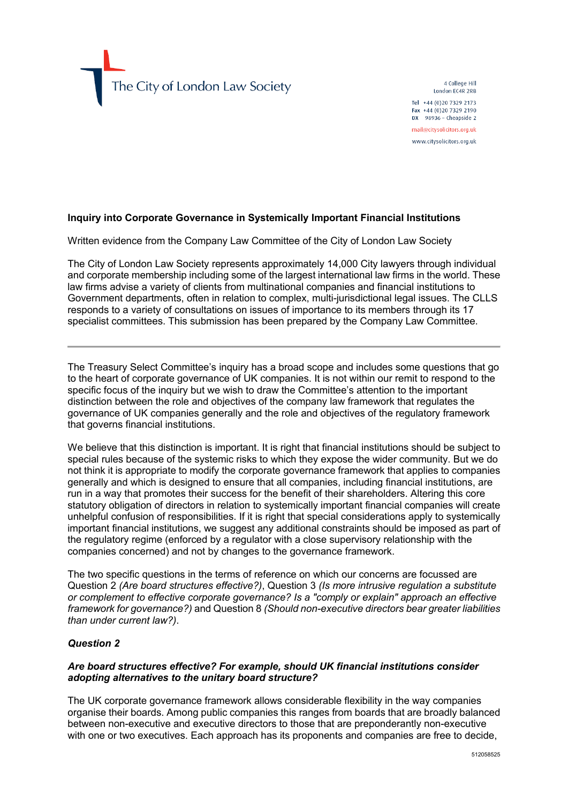The City of London Law Society

4 College Hill London EC4R 2RB Tel +44 (0)20 7329 2173 Fax +44 (0)20 7329 2190 DX  $98936$  - Cheapside 2 mail@citysolicitors.org.uk

www.citysolicitors.org.uk

## **Inquiry into Corporate Governance in Systemically Important Financial Institutions**

Written evidence from the Company Law Committee of the City of London Law Society

The City of London Law Society represents approximately 14,000 City lawyers through individual and corporate membership including some of the largest international law firms in the world. These law firms advise a variety of clients from multinational companies and financial institutions to Government departments, often in relation to complex, multi-jurisdictional legal issues. The CLLS responds to a variety of consultations on issues of importance to its members through its 17 specialist committees. This submission has been prepared by the Company Law Committee.

The Treasury Select Committee's inquiry has a broad scope and includes some questions that go to the heart of corporate governance of UK companies. It is not within our remit to respond to the specific focus of the inquiry but we wish to draw the Committee's attention to the important distinction between the role and objectives of the company law framework that regulates the governance of UK companies generally and the role and objectives of the regulatory framework that governs financial institutions.

We believe that this distinction is important. It is right that financial institutions should be subject to special rules because of the systemic risks to which they expose the wider community. But we do not think it is appropriate to modify the corporate governance framework that applies to companies generally and which is designed to ensure that all companies, including financial institutions, are run in a way that promotes their success for the benefit of their shareholders. Altering this core statutory obligation of directors in relation to systemically important financial companies will create unhelpful confusion of responsibilities. If it is right that special considerations apply to systemically important financial institutions, we suggest any additional constraints should be imposed as part of the regulatory regime (enforced by a regulator with a close supervisory relationship with the companies concerned) and not by changes to the governance framework.

The two specific questions in the terms of reference on which our concerns are focussed are Question 2 *(Are board structures effective?)*, Question 3 *(Is more intrusive regulation a substitute or complement to effective corporate governance? Is a "comply or explain" approach an effective framework for governance?)* and Question 8 *(Should non-executive directors bear greater liabilities than under current law?)*.

## *Question 2*

#### *Are board structures effective? For example, should UK financial institutions consider adopting alternatives to the unitary board structure?*

The UK corporate governance framework allows considerable flexibility in the way companies organise their boards. Among public companies this ranges from boards that are broadly balanced between non-executive and executive directors to those that are preponderantly non-executive with one or two executives. Each approach has its proponents and companies are free to decide,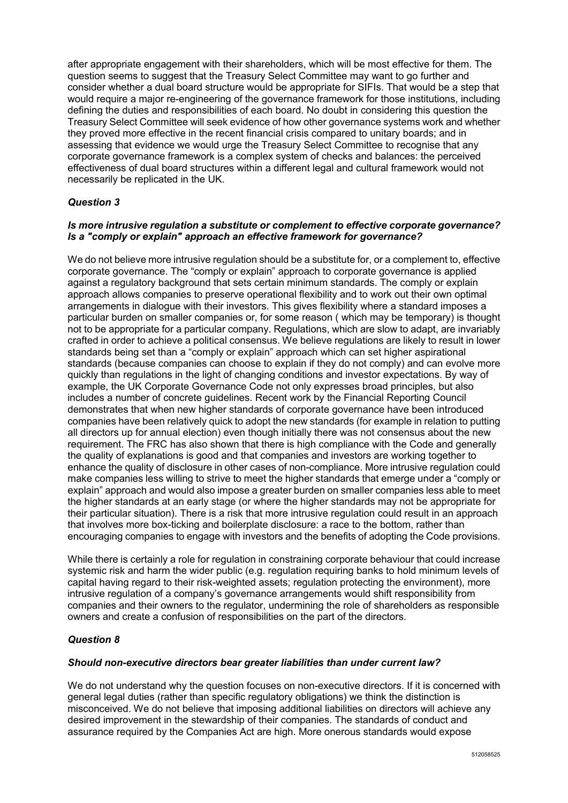after appropriate engagement with their shareholders, which will be most effective for them. The question seems to suggest that the Treasury Select Committee may want to go further and consider whether a dual board structure would be appropriate for SIFIs. That would be a step that would require a major re-engineering of the governance framework for those institutions, including defining the duties and responsibilities of each board. No doubt in considering this question the Treasury Select Committee will seek evidence of how other governance systems work and whether they proved more effective in the recent financial crisis compared to unitary boards; and in assessing that evidence we would urge the Treasury Select Committee to recognise that any corporate governance framework is a complex system of checks and balances: the perceived effectiveness of dual board structures within a different legal and cultural framework would not necessarily be replicated in the UK.

# *Question 3*

## *Is more intrusive regulation a substitute or complement to effective corporate governance? Is a "comply or explain" approach an effective framework for governance?*

We do not believe more intrusive regulation should be a substitute for, or a complement to, effective corporate governance. The "comply or explain" approach to corporate governance is applied against a regulatory background that sets certain minimum standards. The comply or explain approach allows companies to preserve operational flexibility and to work out their own optimal arrangements in dialogue with their investors. This gives flexibility where a standard imposes a particular burden on smaller companies or, for some reason ( which may be temporary) is thought not to be appropriate for a particular company. Regulations, which are slow to adapt, are invariably crafted in order to achieve a political consensus. We believe regulations are likely to result in lower standards being set than a "comply or explain" approach which can set higher aspirational standards (because companies can choose to explain if they do not comply) and can evolve more quickly than regulations in the light of changing conditions and investor expectations. By way of example, the UK Corporate Governance Code not only expresses broad principles, but also includes a number of concrete guidelines. Recent work by the Financial Reporting Council demonstrates that when new higher standards of corporate governance have been introduced companies have been relatively quick to adopt the new standards (for example in relation to putting all directors up for annual election) even though initially there was not consensus about the new requirement. The FRC has also shown that there is high compliance with the Code and generally the quality of explanations is good and that companies and investors are working together to enhance the quality of disclosure in other cases of non-compliance. More intrusive regulation could make companies less willing to strive to meet the higher standards that emerge under a "comply or explain" approach and would also impose a greater burden on smaller companies less able to meet the higher standards at an early stage (or where the higher standards may not be appropriate for their particular situation). There is a risk that more intrusive regulation could result in an approach that involves more box-ticking and boilerplate disclosure: a race to the bottom, rather than encouraging companies to engage with investors and the benefits of adopting the Code provisions.

While there is certainly a role for regulation in constraining corporate behaviour that could increase systemic risk and harm the wider public (e.g. regulation requiring banks to hold minimum levels of capital having regard to their risk-weighted assets; regulation protecting the environment), more intrusive regulation of a company's governance arrangements would shift responsibility from companies and their owners to the regulator, undermining the role of shareholders as responsible owners and create a confusion of responsibilities on the part of the directors.

## *Question 8*

## *Should non-executive directors bear greater liabilities than under current law?*

We do not understand why the question focuses on non-executive directors. If it is concerned with general legal duties (rather than specific regulatory obligations) we think the distinction is misconceived. We do not believe that imposing additional liabilities on directors will achieve any desired improvement in the stewardship of their companies. The standards of conduct and assurance required by the Companies Act are high. More onerous standards would expose